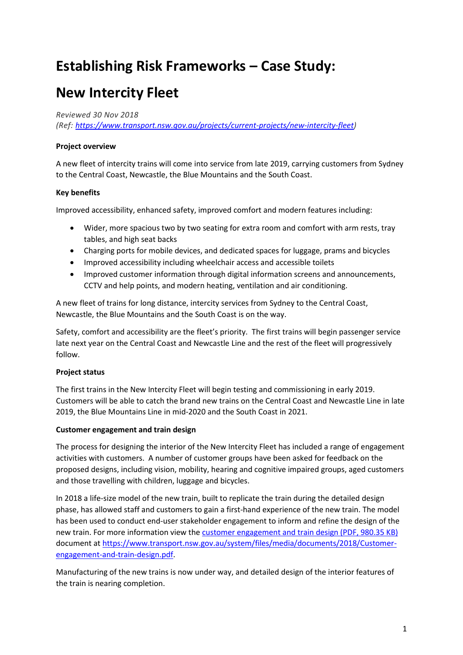## **Establishing Risk Frameworks – Case Study:**

# **New Intercity Fleet**

*Reviewed 30 Nov 2018*

*(Ref: [https://www.transport.nsw.gov.au/projects/current-projects/new-intercity-fleet\)](https://www.transport.nsw.gov.au/projects/current-projects/new-intercity-fleet)*

### **Project overview**

A new fleet of intercity trains will come into service from late 2019, carrying customers from Sydney to the Central Coast, Newcastle, the Blue Mountains and the South Coast.

### **Key benefits**

Improved accessibility, enhanced safety, improved comfort and modern features including:

- Wider, more spacious two by two seating for extra room and comfort with arm rests, tray tables, and high seat backs
- Charging ports for mobile devices, and dedicated spaces for luggage, prams and bicycles
- Improved accessibility including wheelchair access and accessible toilets
- Improved customer information through digital information screens and announcements, CCTV and help points, and modern heating, ventilation and air conditioning.

A new fleet of trains for long distance, intercity services from Sydney to the Central Coast, Newcastle, the Blue Mountains and the South Coast is on the way.

Safety, comfort and accessibility are the fleet's priority. The first trains will begin passenger service late next year on the Central Coast and Newcastle Line and the rest of the fleet will progressively follow.

### **Project status**

The first trains in the New Intercity Fleet will begin testing and commissioning in early 2019. Customers will be able to catch the brand new trains on the Central Coast and Newcastle Line in late 2019, the Blue Mountains Line in mid-2020 and the South Coast in 2021.

### **Customer engagement and train design**

The process for designing the interior of the New Intercity Fleet has included a range of engagement activities with customers. A number of customer groups have been asked for feedback on the proposed designs, including vision, mobility, hearing and cognitive impaired groups, aged customers and those travelling with children, luggage and bicycles.

In 2018 a life-size model of the new train, built to replicate the train during the detailed design phase, has allowed staff and customers to gain a first-hand experience of the new train. The model has been used to conduct end-user stakeholder engagement to inform and refine the design of the new train. For more information view the [customer engagement and train design \(PDF, 980.35 KB\)](https://www.transport.nsw.gov.au/system/files/media/documents/2018/Customer-engagement-and-train-design.pdf) document a[t https://www.transport.nsw.gov.au/system/files/media/documents/2018/Customer](https://www.transport.nsw.gov.au/system/files/media/documents/2018/Customer-engagement-and-train-design.pdf)[engagement-and-train-design.pdf.](https://www.transport.nsw.gov.au/system/files/media/documents/2018/Customer-engagement-and-train-design.pdf)

Manufacturing of the new trains is now under way, and detailed design of the interior features of the train is nearing completion.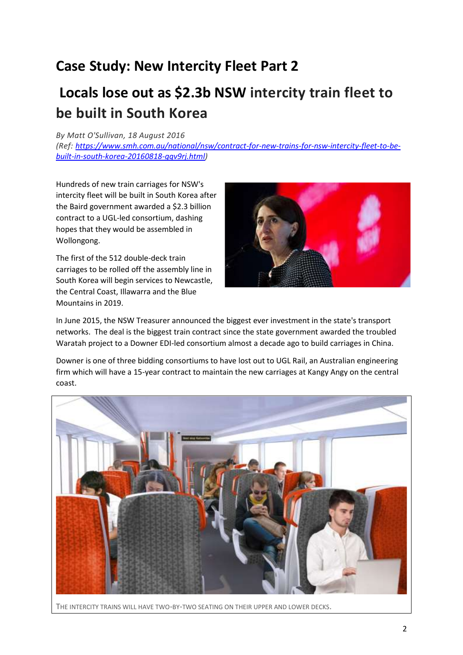### **Case Study: New Intercity Fleet Part 2**

# **Locals lose out as \$2.3b NSW intercity train fleet to be built in South Korea**

### *By [Matt O'Sullivan,](https://www.smh.com.au/by/matt-o) 18 August 2016*

*(Ref: [https://www.smh.com.au/national/nsw/contract-for-new-trains-for-nsw-intercity-fleet-to-be](https://www.smh.com.au/national/nsw/contract-for-new-trains-for-nsw-intercity-fleet-to-be-built-in-south-korea-20160818-gqv9rj.html)[built-in-south-korea-20160818-gqv9rj.html\)](https://www.smh.com.au/national/nsw/contract-for-new-trains-for-nsw-intercity-fleet-to-be-built-in-south-korea-20160818-gqv9rj.html)*

Hundreds of new train carriages for NSW's intercity fleet will be built in South Korea after the Baird government awarded a \$2.3 billion contract to a UGL-led consortium, dashing hopes that they would be assembled in Wollongong.

The first of the 512 double-deck train carriages to be rolled off the assembly line in South Korea will begin services to Newcastle, the Central Coast, Illawarra and the Blue Mountains in 2019.



In June 2015, the NSW Treasurer announced the biggest ever investment in the state's transport networks. The deal is the biggest train contract since the state government awarded the troubled Waratah project to a Downer EDI-led consortium almost a decade ago to build carriages in China.

Downer is one of three bidding consortiums to have lost out to UGL Rail, an Australian engineering firm which will have a 15-year contract to maintain the new carriages at Kangy Angy on the central coast.



THE INTERCITY TRAINS WILL HAVE TWO-BY-TWO SEATING ON THEIR UPPER AND LOWER DECKS.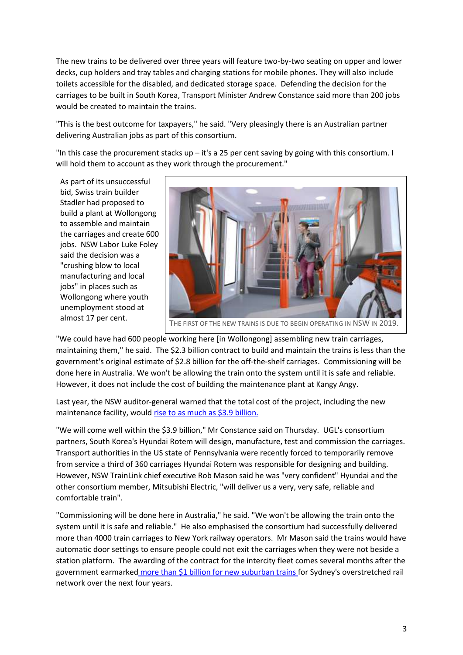The new trains to be delivered over three years will feature two-by-two seating on upper and lower decks, cup holders and tray tables and charging stations for mobile phones. They will also include toilets accessible for the disabled, and dedicated storage space. Defending the decision for the carriages to be built in South Korea, Transport Minister Andrew Constance said more than 200 jobs would be created to maintain the trains.

"This is the best outcome for taxpayers," he said. "Very pleasingly there is an Australian partner delivering Australian jobs as part of this consortium.

"In this case the procurement stacks up – it's a 25 per cent saving by going with this consortium. I will hold them to account as they work through the procurement."

As part of its unsuccessful bid, Swiss train builder Stadler had proposed to build a plant at Wollongong to assemble and maintain the carriages and create 600 jobs. NSW Labor Luke Foley said the decision was a "crushing blow to local manufacturing and local jobs" in places such as Wollongong where youth unemployment stood at



"We could have had 600 people working here [in Wollongong] assembling new train carriages, maintaining them," he said. The \$2.3 billion contract to build and maintain the trains is less than the government's original estimate of \$2.8 billion for the off-the-shelf carriages. Commissioning will be done here in Australia. We won't be allowing the train onto the system until it is safe and reliable. However, it does not include the cost of building the maintenance plant at Kangy Angy.

Last year, the NSW auditor-general warned that the total cost of the project, including the new maintenance facility, would [rise to as much as \\$3.9 billion.](http://www.smh.com.au/nsw/11b-cost-blowout-for-nsws-new-offtheshelf-intercity-trains-20151126-gl8gd4.html)

"We will come well within the \$3.9 billion," Mr Constance said on Thursday. UGL's consortium partners, South Korea's Hyundai Rotem will design, manufacture, test and commission the carriages. Transport authorities in the US state of Pennsylvania were recently forced to temporarily remove from service a third of 360 carriages Hyundai Rotem was responsible for designing and building. However, NSW TrainLink chief executive Rob Mason said he was "very confident" Hyundai and the other consortium member, Mitsubishi Electric, "will deliver us a very, very safe, reliable and comfortable train".

"Commissioning will be done here in Australia," he said. "We won't be allowing the train onto the system until it is safe and reliable." He also emphasised the consortium had successfully delivered more than 4000 train carriages to New York railway operators. Mr Mason said the trains would have automatic door settings to ensure people could not exit the carriages when they were not beside a station platform. The awarding of the contract for the intercity fleet comes several months after the government earmarked [more than \\$1 billion for new suburban trains](http://www.smh.com.au/nsw/nsw-state-budget-2016-1b-for-new-suburban-trains-for-sydney-rail-network-20160620-gpn80u.html) for Sydney's overstretched rail network over the next four years.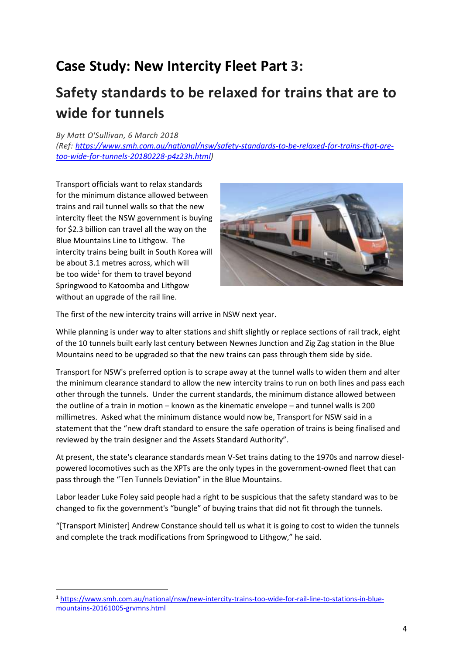## **Case Study: New Intercity Fleet Part 3:**

# **Safety standards to be relaxed for trains that are to wide for tunnels**

*By [Matt O'Sullivan,](https://www.smh.com.au/by/matt-o) 6 March 2018*

*(Ref: [https://www.smh.com.au/national/nsw/safety-standards-to-be-relaxed-for-trains-that-are](https://www.smh.com.au/national/nsw/safety-standards-to-be-relaxed-for-trains-that-are-too-wide-for-tunnels-20180228-p4z23h.html)[too-wide-for-tunnels-20180228-p4z23h.html\)](https://www.smh.com.au/national/nsw/safety-standards-to-be-relaxed-for-trains-that-are-too-wide-for-tunnels-20180228-p4z23h.html)*

Transport officials want to relax standards for the minimum distance allowed between trains and rail tunnel walls so that the new intercity fleet the NSW government is buying for \$2.3 billion can travel all the way on the Blue Mountains Line to Lithgow. The intercity trains being built in South Korea will be about 3.1 metres across, which will be too wide<sup>1</sup> for them to travel beyond Springwood to Katoomba and Lithgow without an upgrade of the rail line.



The first of the new intercity trains will arrive in NSW next year.

While planning is under way to alter stations and shift slightly or replace sections of rail track, eight of the 10 tunnels built early last century between Newnes Junction and Zig Zag station in the Blue Mountains need to be upgraded so that the new trains can pass through them side by side.

Transport for NSW's preferred option is to scrape away at the tunnel walls to widen them and alter the minimum clearance standard to allow the new intercity trains to run on both lines and pass each other through the tunnels. Under the current standards, the minimum distance allowed between the outline of a train in motion – known as the kinematic envelope – and tunnel walls is 200 millimetres. Asked what the minimum distance would now be, Transport for NSW said in a statement that the "new draft standard to ensure the safe operation of trains is being finalised and reviewed by the train designer and the Assets Standard Authority".

At present, the state's clearance standards mean V-Set trains dating to the 1970s and narrow dieselpowered locomotives such as the XPTs are the only types in the government-owned fleet that can pass through the "Ten Tunnels Deviation" in the Blue Mountains.

Labor leader Luke Foley said people had a right to be suspicious that the safety standard was to be changed to fix the government's "bungle" of buying trains that did not fit through the tunnels.

"[Transport Minister] Andrew Constance should tell us what it is going to cost to widen the tunnels and complete the track modifications from Springwood to Lithgow," he said.

<sup>1</sup> [https://www.smh.com.au/national/nsw/new-intercity-trains-too-wide-for-rail-line-to-stations-in-blue](https://www.smh.com.au/national/nsw/new-intercity-trains-too-wide-for-rail-line-to-stations-in-blue-mountains-20161005-grvmns.html)[mountains-20161005-grvmns.html](https://www.smh.com.au/national/nsw/new-intercity-trains-too-wide-for-rail-line-to-stations-in-blue-mountains-20161005-grvmns.html)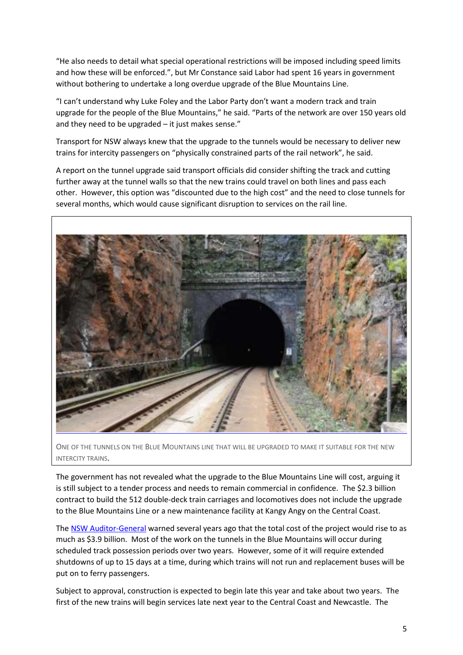"He also needs to detail what special operational restrictions will be imposed including speed limits and how these will be enforced.", but Mr Constance said Labor had spent 16 years in government without bothering to undertake a long overdue upgrade of the Blue Mountains Line.

"I can't understand why Luke Foley and the Labor Party don't want a modern track and train upgrade for the people of the Blue Mountains," he said. "Parts of the network are over 150 years old and they need to be upgraded – it just makes sense."

Transport for NSW always knew that the upgrade to the tunnels would be necessary to deliver new trains for intercity passengers on "physically constrained parts of the rail network", he said.

A report on the tunnel upgrade said transport officials did consider shifting the track and cutting further away at the tunnel walls so that the new trains could travel on both lines and pass each other. However, this option was "discounted due to the high cost" and the need to close tunnels for several months, which would cause significant disruption to services on the rail line.



ONE OF THE TUNNELS ON THE BLUE MOUNTAINS LINE THAT WILL BE UPGRADED TO MAKE IT SUITABLE FOR THE NEW INTERCITY TRAINS.

The government has not revealed what the upgrade to the Blue Mountains Line will cost, arguing it is still subject to a tender process and needs to remain commercial in confidence. The \$2.3 billion contract to build the 512 double-deck train carriages and locomotives does not include the upgrade to the Blue Mountains Line or a new maintenance facility at Kangy Angy on the Central Coast.

The [NSW Auditor-General](https://www.audit.nsw.gov.au/publications/latest-reports/volume-six-2015-transport) warned several years ago that the total cost of the project would rise to as much as \$3.9 billion. Most of the work on the tunnels in the Blue Mountains will occur during scheduled track possession periods over two years. However, some of it will require extended shutdowns of up to 15 days at a time, during which trains will not run and replacement buses will be put on to ferry passengers.

Subject to approval, construction is expected to begin late this year and take about two years. The first of the new trains will begin services late next year to the Central Coast and Newcastle. The